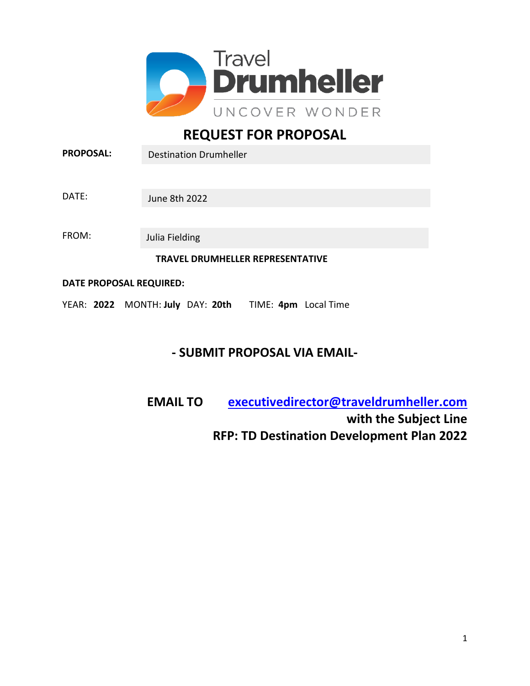

# **REQUEST FOR PROPOSAL**

| <b>PROPOSAL:</b>                        | <b>Destination Drumheller</b> |  |  |  |
|-----------------------------------------|-------------------------------|--|--|--|
|                                         |                               |  |  |  |
| DATE:                                   | June 8th 2022                 |  |  |  |
|                                         |                               |  |  |  |
| FROM:                                   | Julia Fielding                |  |  |  |
| <b>TRAVEL DRUMHELLER REPRESENTATIVE</b> |                               |  |  |  |
| DATE PROPOSAL REQUIRED:                 |                               |  |  |  |

YEAR: **2022** MONTH: **July** DAY: **20th** TIME: **4pm** Local Time

## **- SUBMIT PROPOSAL VIA EMAIL-**

**EMAIL TO [executivedirector@traveldrumheller.com](mailto:executivedirector@traveldrumheller.com)  with the Subject Line RFP: TD Destination Development Plan 2022**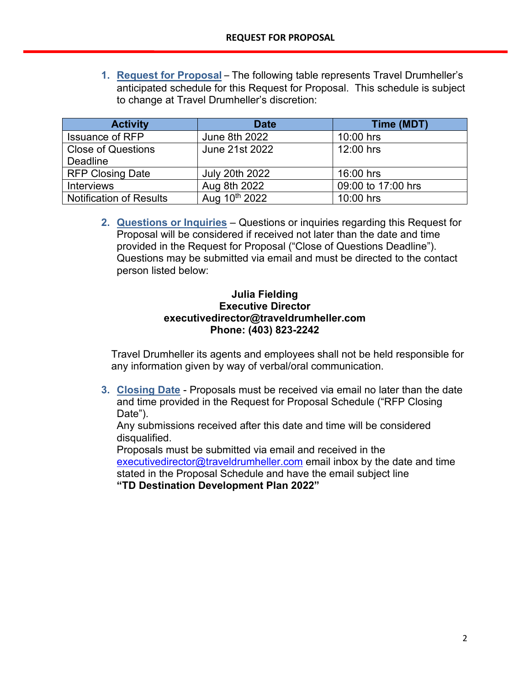**1. Request for Proposal** – The following table represents Travel Drumheller's anticipated schedule for this Request for Proposal. This schedule is subject to change at Travel Drumheller's discretion:

| <b>Activity</b>                | <b>Date</b>           | Time (MDT)         |
|--------------------------------|-----------------------|--------------------|
| <b>Issuance of RFP</b>         | June 8th 2022         | $10:00$ hrs        |
| <b>Close of Questions</b>      | June 21st 2022        | 12:00 hrs          |
| <b>Deadline</b>                |                       |                    |
| <b>RFP Closing Date</b>        | <b>July 20th 2022</b> | 16:00 hrs          |
| <b>Interviews</b>              | Aug 8th 2022          | 09:00 to 17:00 hrs |
| <b>Notification of Results</b> | Aug 10th 2022         | 10:00 hrs          |

**2. Questions or Inquiries** – Questions or inquiries regarding this Request for Proposal will be considered if received not later than the date and time provided in the Request for Proposal ("Close of Questions Deadline"). Questions may be submitted via email and must be directed to the contact person listed below:

## **Julia Fielding Executive Director executivedirector@traveldrumheller.com Phone: (403) 823-2242**

Travel Drumheller its agents and employees shall not be held responsible for any information given by way of verbal/oral communication.

**3. Closing Date** - Proposals must be received via email no later than the date and time provided in the Request for Proposal Schedule ("RFP Closing Date").

Any submissions received after this date and time will be considered disqualified.

Proposals must be submitted via email and received in the [executivedirector@traveldrumheller.com](mailto:executivedirector@traveldrumheller.com) email inbox by the date and time stated in the Proposal Schedule and have the email subject line **"TD Destination Development Plan 2022"**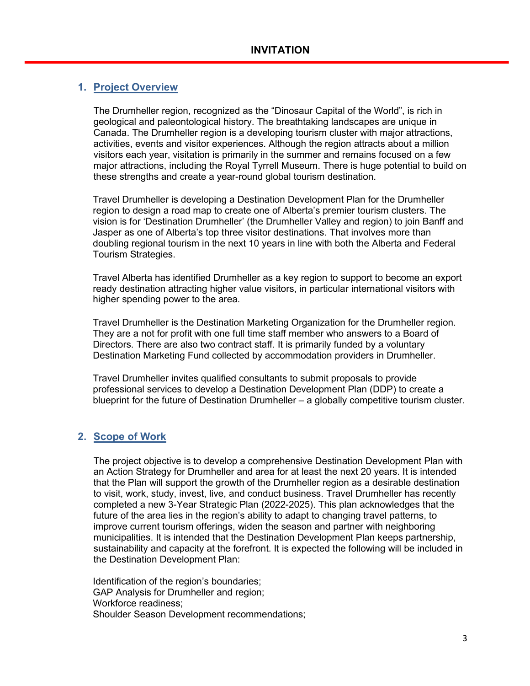## **1. Project Overview**

The Drumheller region, recognized as the "Dinosaur Capital of the World", is rich in geological and paleontological history. The breathtaking landscapes are unique in Canada. The Drumheller region is a developing tourism cluster with major attractions, activities, events and visitor experiences. Although the region attracts about a million visitors each year, visitation is primarily in the summer and remains focused on a few major attractions, including the Royal Tyrrell Museum. There is huge potential to build on these strengths and create a year-round global tourism destination.

Travel Drumheller is developing a Destination Development Plan for the Drumheller region to design a road map to create one of Alberta's premier tourism clusters. The vision is for 'Destination Drumheller' (the Drumheller Valley and region) to join Banff and Jasper as one of Alberta's top three visitor destinations. That involves more than doubling regional tourism in the next 10 years in line with both the Alberta and Federal Tourism Strategies.

Travel Alberta has identified Drumheller as a key region to support to become an export ready destination attracting higher value visitors, in particular international visitors with higher spending power to the area.

Travel Drumheller is the Destination Marketing Organization for the Drumheller region. They are a not for profit with one full time staff member who answers to a Board of Directors. There are also two contract staff. It is primarily funded by a voluntary Destination Marketing Fund collected by accommodation providers in Drumheller.

Travel Drumheller invites qualified consultants to submit proposals to provide professional services to develop a Destination Development Plan (DDP) to create a blueprint for the future of Destination Drumheller – a globally competitive tourism cluster.

## **2. Scope of Work**

The project objective is to develop a comprehensive Destination Development Plan with an Action Strategy for Drumheller and area for at least the next 20 years. It is intended that the Plan will support the growth of the Drumheller region as a desirable destination to visit, work, study, invest, live, and conduct business. Travel Drumheller has recently completed a new 3-Year Strategic Plan (2022-2025). This plan acknowledges that the future of the area lies in the region's ability to adapt to changing travel patterns, to improve current tourism offerings, widen the season and partner with neighboring municipalities. It is intended that the Destination Development Plan keeps partnership, sustainability and capacity at the forefront. It is expected the following will be included in the Destination Development Plan:

Identification of the region's boundaries; GAP Analysis for Drumheller and region; Workforce readiness; Shoulder Season Development recommendations;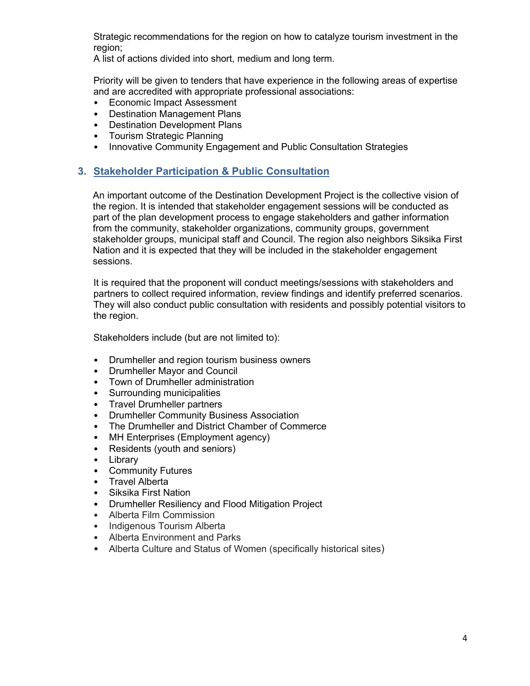Strategic recommendations for the region on how to catalyze tourism investment in the region;

A list of actions divided into short, medium and long term.

Priority will be given to tenders that have experience in the following areas of expertise and are accredited with appropriate professional associations:

- Economic Impact Assessment
- Destination Management Plans
- Destination Development Plans
- Tourism Strategic Planning
- Innovative Community Engagement and Public Consultation Strategies

#### **3. Stakeholder Participation & Public Consultation**

An important outcome of the Destination Development Project is the collective vision of the region. It is intended that stakeholder engagement sessions will be conducted as part of the plan development process to engage stakeholders and gather information from the community, stakeholder organizations, community groups, government stakeholder groups, municipal staff and Council. The region also neighbors Siksika First Nation and it is expected that they will be included in the stakeholder engagement sessions.

It is required that the proponent will conduct meetings/sessions with stakeholders and partners to collect required information, review findings and identify preferred scenarios. They will also conduct public consultation with residents and possibly potential visitors to the region.

Stakeholders include (but are not limited to):

- Drumheller and region tourism business owners
- Drumheller Mayor and Council
- Town of Drumheller administration
- Surrounding municipalities
- Travel Drumheller partners
- Drumheller Community Business Association
- The Drumheller and District Chamber of Commerce
- MH Enterprises (Employment agency)
- Residents (youth and seniors)
- Library
- Community Futures
- Travel Alberta
- Siksika First Nation
- Drumheller Resiliency and Flood Mitigation Project
- Alberta Film Commission
- Indigenous Tourism Alberta
- Alberta Environment and Parks
- Alberta Culture and Status of Women (specifically historical sites)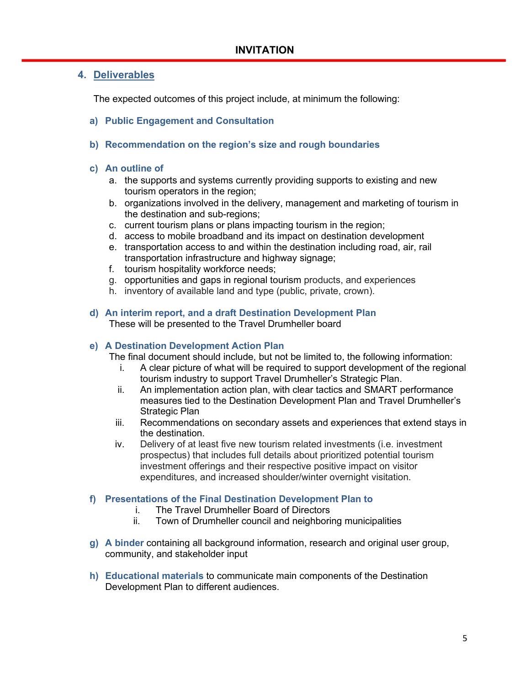#### **4. Deliverables**

The expected outcomes of this project include, at minimum the following:

- **a) Public Engagement and Consultation**
- **b) Recommendation on the region's size and rough boundaries**

#### **c) An outline of**

- a. the supports and systems currently providing supports to existing and new tourism operators in the region;
- b. organizations involved in the delivery, management and marketing of tourism in the destination and sub-regions;
- c. current tourism plans or plans impacting tourism in the region;
- d. access to mobile broadband and its impact on destination development
- e. transportation access to and within the destination including road, air, rail transportation infrastructure and highway signage;
- f. tourism hospitality workforce needs;
- g. opportunities and gaps in regional tourism products, and experiences
- h. inventory of available land and type (public, private, crown).

#### **d) An interim report, and a draft Destination Development Plan** These will be presented to the Travel Drumheller board

#### **e) A Destination Development Action Plan**

The final document should include, but not be limited to, the following information:

- i. A clear picture of what will be required to support development of the regional tourism industry to support Travel Drumheller's Strategic Plan.
- ii. An implementation action plan, with clear tactics and SMART performance measures tied to the Destination Development Plan and Travel Drumheller's Strategic Plan
- iii. Recommendations on secondary assets and experiences that extend stays in the destination.
- iv. Delivery of at least five new tourism related investments (i.e. investment prospectus) that includes full details about prioritized potential tourism investment offerings and their respective positive impact on visitor expenditures, and increased shoulder/winter overnight visitation.

#### **f) Presentations of the Final Destination Development Plan to**

- i. The Travel Drumheller Board of Directors
- ii. Town of Drumheller council and neighboring municipalities
- **g) A binder** containing all background information, research and original user group, community, and stakeholder input
- **h) Educational materials** to communicate main components of the Destination Development Plan to different audiences.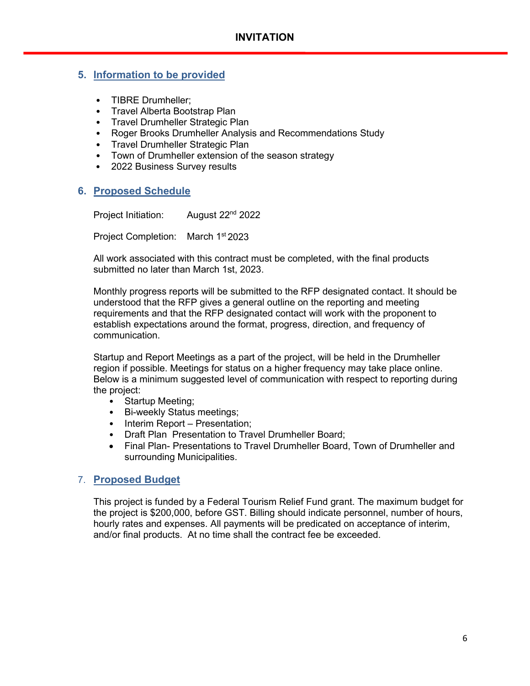## **5. Information to be provided**

- TIBRE Drumheller;
- Travel Alberta Bootstrap Plan
- Travel Drumheller Strategic Plan
- Roger Brooks Drumheller Analysis and Recommendations Study
- Travel Drumheller Strategic Plan<br>• Town of Drumheller extension of
- Town of Drumheller extension of the season strategy
- 2022 Business Survey results

## **6. Proposed Schedule**

Project Initiation: August 22<sup>nd</sup> 2022

Project Completion: March 1<sup>st</sup> 2023

All work associated with this contract must be completed, with the final products submitted no later than March 1st, 2023.

Monthly progress reports will be submitted to the RFP designated contact. It should be understood that the RFP gives a general outline on the reporting and meeting requirements and that the RFP designated contact will work with the proponent to establish expectations around the format, progress, direction, and frequency of communication.

Startup and Report Meetings as a part of the project, will be held in the Drumheller region if possible. Meetings for status on a higher frequency may take place online. Below is a minimum suggested level of communication with respect to reporting during the project:

- Startup Meeting;
- Bi-weekly Status meetings;
- Interim Report Presentation;
- Draft Plan Presentation to Travel Drumheller Board;
- Final Plan- Presentations to Travel Drumheller Board, Town of Drumheller and surrounding Municipalities.

## 7. **Proposed Budget**

This project is funded by a Federal Tourism Relief Fund grant. The maximum budget for the project is \$200,000, before GST. Billing should indicate personnel, number of hours, hourly rates and expenses. All payments will be predicated on acceptance of interim, and/or final products. At no time shall the contract fee be exceeded.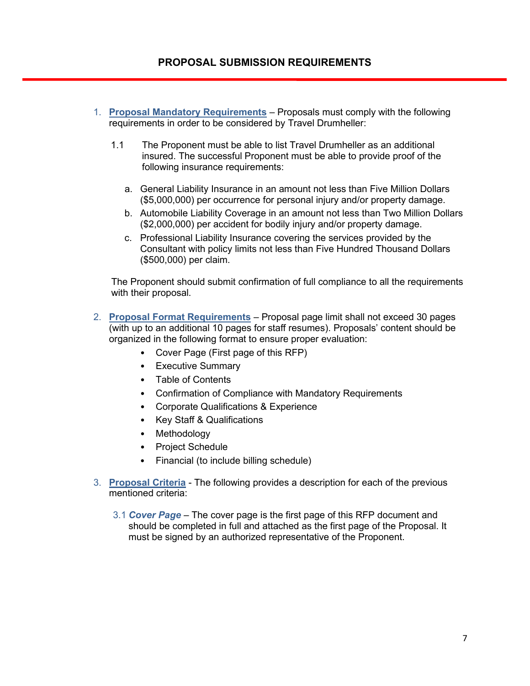## **PROPOSAL SUBMISSION REQUIREMENTS**

- 1. **Proposal Mandatory Requirements** Proposals must comply with the following requirements in order to be considered by Travel Drumheller:
	- 1.1 The Proponent must be able to list Travel Drumheller as an additional insured. The successful Proponent must be able to provide proof of the following insurance requirements:
		- a. General Liability Insurance in an amount not less than Five Million Dollars (\$5,000,000) per occurrence for personal injury and/or property damage.
		- b. Automobile Liability Coverage in an amount not less than Two Million Dollars (\$2,000,000) per accident for bodily injury and/or property damage.
		- c. Professional Liability Insurance covering the services provided by the Consultant with policy limits not less than Five Hundred Thousand Dollars (\$500,000) per claim.

The Proponent should submit confirmation of full compliance to all the requirements with their proposal.

- 2. **Proposal Format Requirements** Proposal page limit shall not exceed 30 pages (with up to an additional 10 pages for staff resumes). Proposals' content should be organized in the following format to ensure proper evaluation:
	- Cover Page (First page of this RFP)
	- Executive Summary
	- Table of Contents
	- Confirmation of Compliance with Mandatory Requirements
	- Corporate Qualifications & Experience
	- Key Staff & Qualifications
	- Methodology
	- Project Schedule
	- Financial (to include billing schedule)
- 3. **Proposal Criteria** The following provides a description for each of the previous mentioned criteria<sup>.</sup>
	- 3.1 *Cover Page* The cover page is the first page of this RFP document and should be completed in full and attached as the first page of the Proposal. It must be signed by an authorized representative of the Proponent.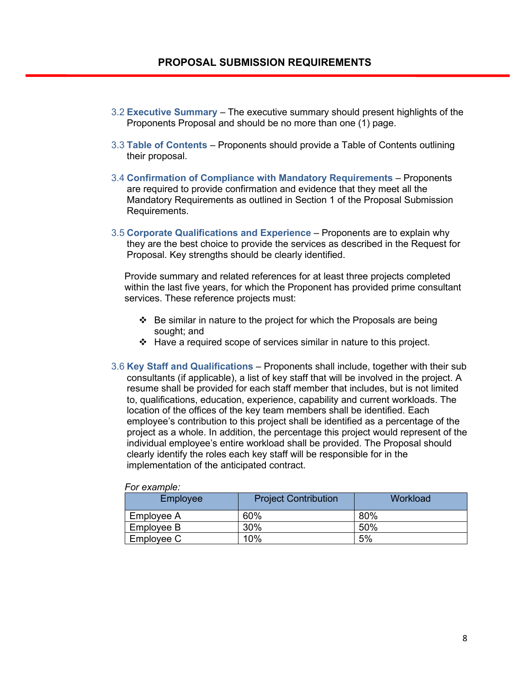- 3.2 **Executive Summary**The executive summary should present highlights of the Proponents Proposal and should be no more than one (1) page.
- 3.3 **Table of Contents** Proponents should provide a Table of Contents outlining their proposal.
- 3.4 **Confirmation of Compliance with Mandatory Requirements** Proponents are required to provide confirmation and evidence that they meet all the Mandatory Requirements as outlined in Section 1 of the Proposal Submission Requirements.
- 3.5 **Corporate Qualifications and Experience**Proponents are to explain why they are the best choice to provide the services as described in the Request for Proposal. Key strengths should be clearly identified.

Provide summary and related references for at least three projects completed within the last five years, for which the Proponent has provided prime consultant services. These reference projects must:

- $\div$  Be similar in nature to the project for which the Proposals are being sought; and
- $\div$  Have a required scope of services similar in nature to this project.
- 3.6 **Key Staff and Qualifications**Proponents shall include, together with their sub consultants (if applicable), a list of key staff that will be involved in the project. A resume shall be provided for each staff member that includes, but is not limited to, qualifications, education, experience, capability and current workloads. The location of the offices of the key team members shall be identified. Each employee's contribution to this project shall be identified as a percentage of the project as a whole. In addition, the percentage this project would represent of the individual employee's entire workload shall be provided. The Proposal should clearly identify the roles each key staff will be responsible for in the implementation of the anticipated contract.

| Employee   | <b>Project Contribution</b> | Workload |
|------------|-----------------------------|----------|
| Employee A | 60%                         | 80%      |
| Employee B | 30%                         | 50%      |
| Employee C | 10%                         | 5%       |

#### *For example:*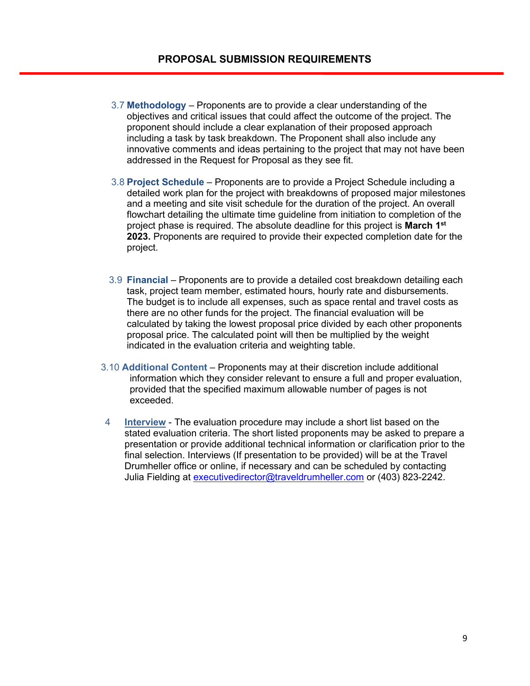- 3.7 **Methodology** Proponents are to provide a clear understanding of the objectives and critical issues that could affect the outcome of the project. The proponent should include a clear explanation of their proposed approach including a task by task breakdown. The Proponent shall also include any innovative comments and ideas pertaining to the project that may not have been addressed in the Request for Proposal as they see fit.
- 3.8 **Project Schedule**Proponents are to provide a Project Schedule including a detailed work plan for the project with breakdowns of proposed major milestones and a meeting and site visit schedule for the duration of the project. An overall flowchart detailing the ultimate time guideline from initiation to completion of the project phase is required. The absolute deadline for this project is **March 1st 2023.** Proponents are required to provide their expected completion date for the project.
- 3.9 **Financial** Proponents are to provide a detailed cost breakdown detailing each task, project team member, estimated hours, hourly rate and disbursements. The budget is to include all expenses, such as space rental and travel costs as there are no other funds for the project. The financial evaluation will be calculated by taking the lowest proposal price divided by each other proponents proposal price. The calculated point will then be multiplied by the weight indicated in the evaluation criteria and weighting table.
- 3.10 **Additional Content** Proponents may at their discretion include additional information which they consider relevant to ensure a full and proper evaluation, provided that the specified maximum allowable number of pages is not exceeded.
- 4 **Interview** The evaluation procedure may include a short list based on the stated evaluation criteria. The short listed proponents may be asked to prepare a presentation or provide additional technical information or clarification prior to the final selection. Interviews (If presentation to be provided) will be at the Travel Drumheller office or online, if necessary and can be scheduled by contacting Julia Fielding at [executivedirector@traveldrumheller.com](mailto:executivedirector@traveldrumheller.com) or (403) 823-2242.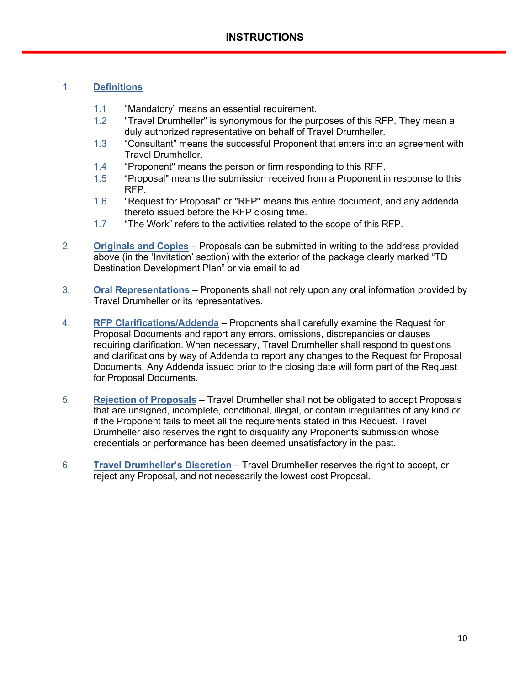#### 1. **Definitions**

- 1.1 "Mandatory" means an essential requirement.
- 1.2 "Travel Drumheller" is synonymous for the purposes of this RFP. They mean a duly authorized representative on behalf of Travel Drumheller.
- 1.3 "Consultant" means the successful Proponent that enters into an agreement with Travel Drumheller.
- 1.4 "Proponent" means the person or firm responding to this RFP.
- 1.5 "Proposal" means the submission received from a Proponent in response to this RFP.
- 1.6 "Request for Proposal" or "RFP" means this entire document, and any addenda thereto issued before the RFP closing time.
- 1.7 "The Work" refers to the activities related to the scope of this RFP.
- 2. **Originals and Copies** Proposals can be submitted in writing to the address provided above (in the 'Invitation' section) with the exterior of the package clearly marked "TD Destination Development Plan" or via email to ad
- 3. **Oral Representations** Proponents shall not rely upon any oral information provided by Travel Drumheller or its representatives.
- 4. **RFP Clarifications/Addenda** Proponents shall carefully examine the Request for Proposal Documents and report any errors, omissions, discrepancies or clauses requiring clarification. When necessary, Travel Drumheller shall respond to questions and clarifications by way of Addenda to report any changes to the Request for Proposal Documents. Any Addenda issued prior to the closing date will form part of the Request for Proposal Documents.
- 5. **Rejection of Proposals** Travel Drumheller shall not be obligated to accept Proposals that are unsigned, incomplete, conditional, illegal, or contain irregularities of any kind or if the Proponent fails to meet all the requirements stated in this Request. Travel Drumheller also reserves the right to disqualify any Proponents submission whose credentials or performance has been deemed unsatisfactory in the past.
- 6. **Travel Drumheller's Discretion** Travel Drumheller reserves the right to accept, or reject any Proposal, and not necessarily the lowest cost Proposal.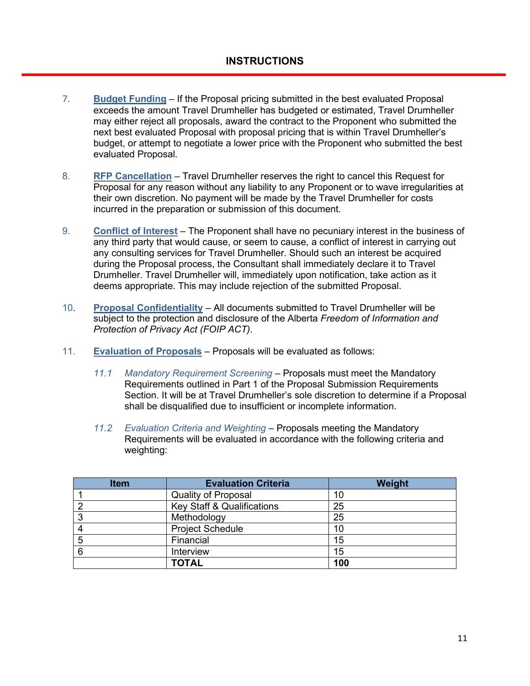- 7. **Budget Funding** If the Proposal pricing submitted in the best evaluated Proposal exceeds the amount Travel Drumheller has budgeted or estimated, Travel Drumheller may either reject all proposals, award the contract to the Proponent who submitted the next best evaluated Proposal with proposal pricing that is within Travel Drumheller's budget, or attempt to negotiate a lower price with the Proponent who submitted the best evaluated Proposal.
- 8. **RFP Cancellation** Travel Drumheller reserves the right to cancel this Request for Proposal for any reason without any liability to any Proponent or to wave irregularities at their own discretion. No payment will be made by the Travel Drumheller for costs incurred in the preparation or submission of this document.
- 9. **Conflict of Interest** The Proponent shall have no pecuniary interest in the business of any third party that would cause, or seem to cause, a conflict of interest in carrying out any consulting services for Travel Drumheller. Should such an interest be acquired during the Proposal process, the Consultant shall immediately declare it to Travel Drumheller. Travel Drumheller will, immediately upon notification, take action as it deems appropriate. This may include rejection of the submitted Proposal.
- 10. **Proposal Confidentiality** All documents submitted to Travel Drumheller will be subject to the protection and disclosure of the Alberta *Freedom of Information and Protection of Privacy Act (FOIP ACT)*.
- 11. **Evaluation of Proposals** Proposals will be evaluated as follows:
	- *11.1 Mandatory Requirement Screening* Proposals must meet the Mandatory Requirements outlined in Part 1 of the Proposal Submission Requirements Section. It will be at Travel Drumheller's sole discretion to determine if a Proposal shall be disqualified due to insufficient or incomplete information.
	- *11.2 Evaluation Criteria and Weighting* Proposals meeting the Mandatory Requirements will be evaluated in accordance with the following criteria and weighting:

| <b>Item</b>    | <b>Evaluation Criteria</b>            | Weight |
|----------------|---------------------------------------|--------|
|                | <b>Quality of Proposal</b>            | 10     |
|                | <b>Key Staff &amp; Qualifications</b> | 25     |
| J              | 25<br>Methodology                     |        |
|                | <b>Project Schedule</b>               | 10     |
| Financial<br>ხ |                                       | 15     |
| 6              | Interview                             | 15     |
|                | <b>TOTAL</b>                          | 100    |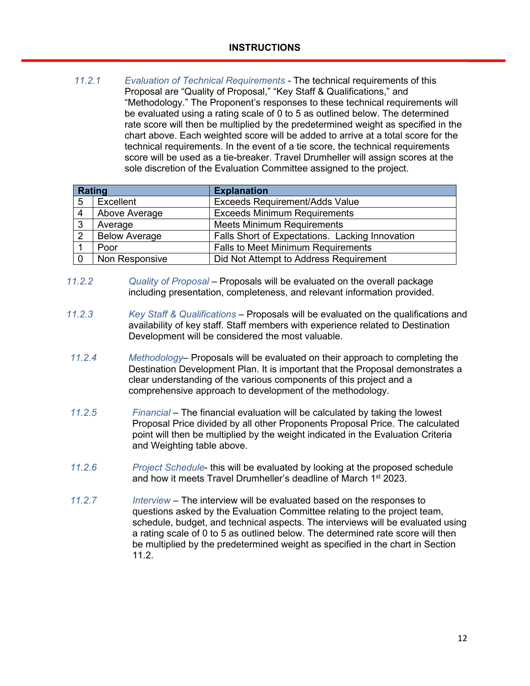*11.2.1 Evaluation of Technical Requirements -* The technical requirements of this Proposal are "Quality of Proposal," "Key Staff & Qualifications," and "Methodology." The Proponent's responses to these technical requirements will be evaluated using a rating scale of 0 to 5 as outlined below. The determined rate score will then be multiplied by the predetermined weight as specified in the chart above. Each weighted score will be added to arrive at a total score for the technical requirements. In the event of a tie score, the technical requirements score will be used as a tie-breaker. Travel Drumheller will assign scores at the sole discretion of the Evaluation Committee assigned to the project.

| Rating |                      | <b>Explanation</b>                              |
|--------|----------------------|-------------------------------------------------|
| 5      | Excellent            | <b>Exceeds Requirement/Adds Value</b>           |
| 4      | Above Average        | <b>Exceeds Minimum Requirements</b>             |
| 3      | Average              | <b>Meets Minimum Requirements</b>               |
| 2      | <b>Below Average</b> | Falls Short of Expectations. Lacking Innovation |
|        | Poor                 | <b>Falls to Meet Minimum Requirements</b>       |
|        | Non Responsive       | Did Not Attempt to Address Requirement          |

- *11.2.2 Quality of Proposal* Proposals will be evaluated on the overall package including presentation, completeness, and relevant information provided.
- *11.2.3 Key Staff & Qualifications* Proposals will be evaluated on the qualifications and availability of key staff. Staff members with experience related to Destination Development will be considered the most valuable.
- *11.2.4 Methodology* Proposals will be evaluated on their approach to completing the Destination Development Plan. It is important that the Proposal demonstrates a clear understanding of the various components of this project and a comprehensive approach to development of the methodology.
- *11.2.5 Financial* The financial evaluation will be calculated by taking the lowest Proposal Price divided by all other Proponents Proposal Price. The calculated point will then be multiplied by the weight indicated in the Evaluation Criteria and Weighting table above.
- *11.2.6 Project Schedule* this will be evaluated by looking at the proposed schedule and how it meets Travel Drumheller's deadline of March 1<sup>st</sup> 2023.
- *11.2.7 Interview*  The interview will be evaluated based on the responses to questions asked by the Evaluation Committee relating to the project team, schedule, budget, and technical aspects. The interviews will be evaluated using a rating scale of 0 to 5 as outlined below. The determined rate score will then be multiplied by the predetermined weight as specified in the chart in Section 11.2.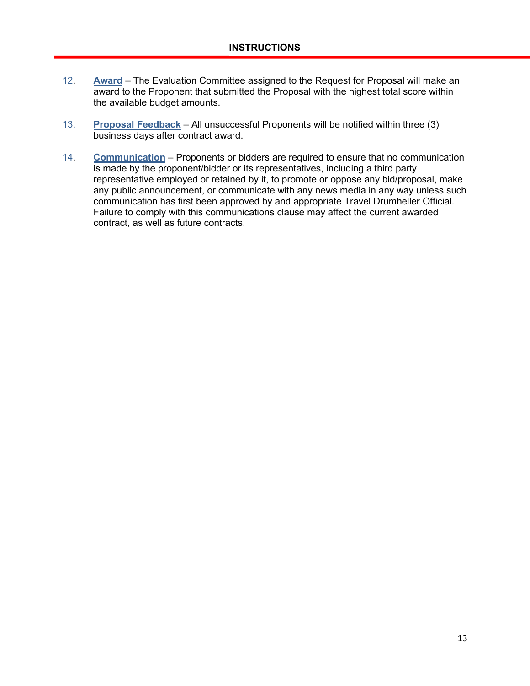- 12. **Award** The Evaluation Committee assigned to the Request for Proposal will make an award to the Proponent that submitted the Proposal with the highest total score within the available budget amounts.
- 13. **Proposal Feedback** All unsuccessful Proponents will be notified within three (3) business days after contract award.
- 14. **Communication** Proponents or bidders are required to ensure that no communication is made by the proponent/bidder or its representatives, including a third party representative employed or retained by it, to promote or oppose any bid/proposal, make any public announcement, or communicate with any news media in any way unless such communication has first been approved by and appropriate Travel Drumheller Official. Failure to comply with this communications clause may affect the current awarded contract, as well as future contracts.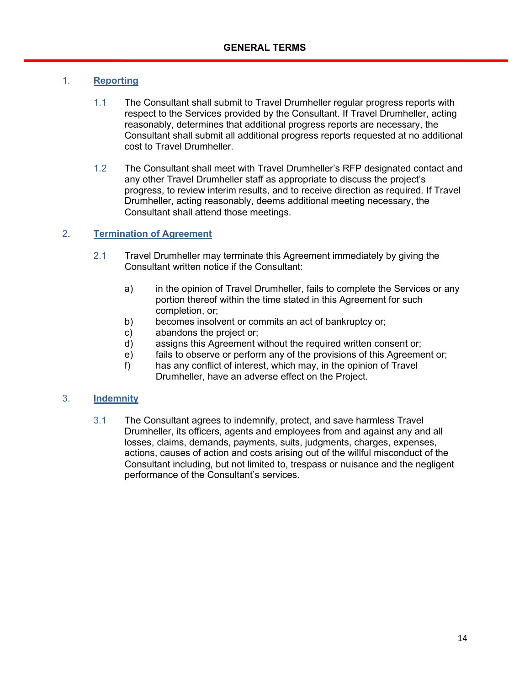#### 1. **Reporting**

- 1.1 The Consultant shall submit to Travel Drumheller regular progress reports with respect to the Services provided by the Consultant. If Travel Drumheller, acting reasonably, determines that additional progress reports are necessary, the Consultant shall submit all additional progress reports requested at no additional cost to Travel Drumheller.
- 1.2 The Consultant shall meet with Travel Drumheller's RFP designated contact and any other Travel Drumheller staff as appropriate to discuss the project's progress, to review interim results, and to receive direction as required. If Travel Drumheller, acting reasonably, deems additional meeting necessary, the Consultant shall attend those meetings.

#### 2. **Termination of Agreement**

- 2.1 Travel Drumheller may terminate this Agreement immediately by giving the Consultant written notice if the Consultant:
	- a) in the opinion of Travel Drumheller, fails to complete the Services or any portion thereof within the time stated in this Agreement for such completion, or;
	- b) becomes insolvent or commits an act of bankruptcy or;
	- c) abandons the project or;
	- d) assigns this Agreement without the required written consent or;
	- e) fails to observe or perform any of the provisions of this Agreement or;
	- f) has any conflict of interest, which may, in the opinion of Travel Drumheller, have an adverse effect on the Project.

#### 3. **Indemnity**

3.1 The Consultant agrees to indemnify, protect, and save harmless Travel Drumheller, its officers, agents and employees from and against any and all losses, claims, demands, payments, suits, judgments, charges, expenses, actions, causes of action and costs arising out of the willful misconduct of the Consultant including, but not limited to, trespass or nuisance and the negligent performance of the Consultant's services.